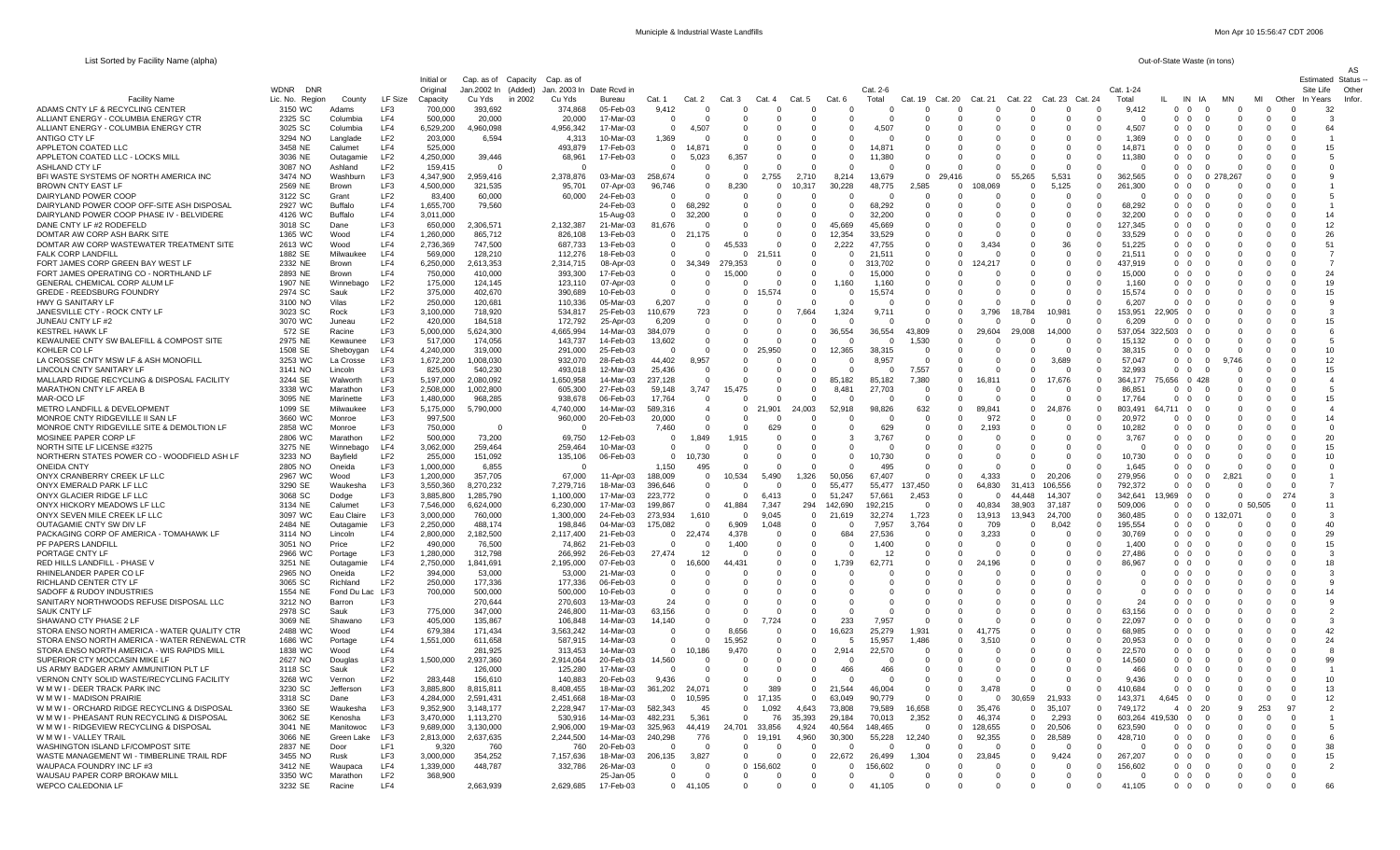|                                                                                             |                            |                        |                                    | Initial or             | Cap. as of Capacity Cap. as of |                        |                        |                                 |                                |                 |                            |                                |                     |                       |                       |          |                      |                      |                                                           |                     |                                           |                           |                             |            | Estimated                    | Status |
|---------------------------------------------------------------------------------------------|----------------------------|------------------------|------------------------------------|------------------------|--------------------------------|------------------------|------------------------|---------------------------------|--------------------------------|-----------------|----------------------------|--------------------------------|---------------------|-----------------------|-----------------------|----------|----------------------|----------------------|-----------------------------------------------------------|---------------------|-------------------------------------------|---------------------------|-----------------------------|------------|------------------------------|--------|
|                                                                                             | <b>WDNR</b><br>DNR         |                        |                                    | Original               | Jan.2002 In<br>(Added)         | Jan. 2003 In           | Date Royd in           |                                 |                                |                 |                            |                                |                     | Cat. 2-6              |                       |          |                      |                      |                                                           | Cat. 1-24           |                                           |                           |                             |            | Site Life                    | Othe   |
| <b>Facility Name</b><br>ADAMS CNTY LF & RECYCLING CENTER                                    | Lic. No. Region<br>3150 WC | County<br>Adams        | LF Size<br>LF3                     | Capacity<br>700.000    | Cu Yds<br>in 2002<br>393.692   | Cu Yds<br>374.868      | Bureau<br>05-Feb-03    | Cat. 1<br>9.412                 | Cat. 2<br>$\Omega$             | Cat. 3          | Cat<br>$\Omega$            | Cat. 5<br>- 0                  | Cat<br>$\Omega$     | Total<br>$\Omega$     | Cat<br>19<br>$\Omega$ | Cat. 20  | Cat 21<br>$\Omega$   | Cat. 22<br>$\Omega$  | Cat. 23 Cat. 24<br>$\Omega$<br>$\Omega$                   | Total<br>9.412      | IN<br>ш<br>0 <sub>0</sub>                 | IA<br><b>MN</b><br>- 0    | MI<br>$\Omega$<br>- 0       | Other      | In Years<br>32               | Infor  |
| ALLIANT ENERGY - COLUMBIA ENERGY CTR                                                        | 2325 SC                    | Columbia               | LF4                                | 500,000                | 20,000                         | 20,000                 | 17-Mar-03              | - 0                             | $\Omega$                       |                 | $\Omega$                   | $\Omega$                       | C                   | $\Omega$              | $\Omega$              |          | $\Omega$             | $^{\prime}$          | $\overline{0}$<br>0                                       |                     | 0 <sub>0</sub>                            | - 0                       | $\Omega$                    | - 0        | -3                           |        |
| ALLIANT ENERGY - COLUMBIA ENERGY CTR                                                        | 3025 SC                    | Columbia               | LF4                                | 6.529.200              | .960.098                       | 4.956.342              | 17-Mar-03              | $\Omega$                        | 4.507                          |                 | $\Omega$                   | - 0                            | $\Omega$            | 4.507                 | $\Omega$              |          | $\Omega$             | n                    | $\Omega$<br>$\Omega$                                      | 4.507               | 0 <sub>0</sub>                            | $\Omega$                  | $\Omega$                    | <u>n</u>   | 64                           |        |
| ANTIGO CTY LF<br>APPLETON COATED LLC                                                        | 3294 NO<br>3458 NE         | Langlade<br>Calumet    | LF <sub>2</sub><br>LF4             | 203,000<br>525,000     | 6,594                          | 4.313<br>493.879       | 10-Mar-03<br>17-Feb-03 | 1,369<br>$\Omega$               | - 0<br>14.871                  | - 0             | 0<br>$\Omega$              | - 0<br>- 0                     | 0<br>$\Omega$       | $\Omega$<br>14.871    | $\Omega$<br>$\Omega$  |          | $\Omega$<br>n        | $\Omega$<br>$\Omega$ | $\Omega$<br>$\Omega$<br>$\Omega$<br>$\Omega$              | 1.369<br>14.871     | 0 <sub>0</sub><br>0 0                     | - 0<br>$\Omega$           | $\Omega$<br>- 0<br>$\Omega$ | - 0<br>- 0 | 15                           |        |
| APPLETON COATED LLC - LOCKS MILL                                                            | 3036 NE                    | Outagamie              | LF <sub>2</sub>                    | 4,250,000              | 39,446                         | 68,961                 | 17-Feb-03              | $\overline{\mathbf{0}}$         | 5,023                          | 6,357           | $\Omega$                   | 0                              | 0                   | 11,380                | $\Omega$              |          | $\Omega$             | $\Omega$             | $\Omega$<br>$\Omega$                                      | 11,380              | 0 <sub>0</sub>                            | $\Omega$                  | $\Omega$                    | - ( )      | -5                           |        |
| ASHLAND CTY LF                                                                              | 3087 NO                    | Ashland                | LF <sub>2</sub>                    | 159.415                | - 0                            | - 0                    |                        | - 0                             | $\Omega$                       | - 0             | $\Omega$                   | $\Omega$                       | C                   | $\Omega$              | $\Omega$              |          | $\Omega$             | n                    | $\Omega$<br>$\Omega$                                      | $\Omega$            | 0 0                                       | $\Omega$                  | $\Omega$                    | - 0        | $\Omega$                     |        |
| BFI WASTE SYSTEMS OF NORTH AMERICA INC                                                      | 3474 NO                    | Washburn               | LF3                                | 4,347,900              | 2,959,416                      | 2,378,876              | 03-Mar-03              | 258.674                         | 0                              | - 0             | 2,755                      | 2.710                          | 8.214               | 13,679                | $\Omega$              | 29.416   | $\Omega$             | 55,265               | 5,531<br>$\overline{0}$                                   | 362,565             | 0 0                                       | $\Omega$<br>'8.267        | $\Omega$                    | - ( )      |                              |        |
| BROWN CNTY EAST LF<br>DAIRYLAND POWER COOP                                                  | 2569 NE<br>3122 SC         | Brown<br>Grant         | LF3<br>LF <sub>2</sub>             | 4,500,000<br>83.400    | 321,535<br>60,000              | 95,701<br>60,000       | 07-Apr-03<br>24-Feb-03 | 96,746<br>- 0                   | $\Omega$<br>$\Omega$           | 8,230<br>- 0    | $\Omega$<br>0              | 0.317<br>$\Omega$              | 30,228<br>- 0       | 48,775<br>0           | 2,585<br>$\Omega$     | - 0      | 108.069<br>$\Omega$  | n                    | 5,125<br>$\Omega$<br>$\Omega$<br>0                        | 261,300<br>$\Omega$ | 0 0<br>0 0                                | - 0<br>- 0                | $\Omega$<br>$\Omega$        | <u>n</u>   | -5                           |        |
| DAIRYLAND POWER COOP OFF-SITE ASH DISPOSAL                                                  | 2927 WC                    | <b>Buffalo</b>         | LF4                                | 1,655,700              | 79,560                         |                        | 24-Feb-03              | - 0                             | 68,292                         | $\Omega$        | $\Omega$                   | $\overline{\mathbf{0}}$        | - 0                 | 68.292                | $\Omega$              |          | $\Omega$             | O                    | $\Omega$<br>$\Omega$                                      | 68 292              | 0 O                                       | - 0                       | $\Omega$                    | - 0        |                              |        |
| DAIRYLAND POWER COOP PHASE IV - BELVIDERE                                                   | 4126 WC                    | <b>Buffalo</b>         | LF4                                | 3.011.000              |                                |                        | 15-Aug-03              | $\Omega$                        | 32,200                         | $\Omega$        | $\Omega$                   | $\Omega$                       | 0                   | 32,200                | $\Omega$              |          | $\Omega$             | n                    | $\Omega$<br>$\Omega$                                      | 32.200              | 0 0                                       | - 0                       | $\Omega$                    | - ( )      | 14                           |        |
| DANE CNTY LF #2 RODEFELD<br>DOMTAR AW CORP ASH BARK SITE                                    | 3018 SC<br>1365 WC         | Dane<br>Wood           | LF3<br>LF4                         | 650,000<br>1,260,000   | 2,306,571<br>865,712           | 2,132,387<br>826,108   | 21-Mar-03<br>13-Feb-03 | 81,676<br>- 0                   | $\Omega$<br>21,175             | $\Omega$        | - 0<br>0                   | $\Omega$<br>$\Omega$           | 45.669<br>12.354    | 45.669<br>33.529      | $\Omega$<br>$\Omega$  |          | $\Omega$<br>$\Omega$ | O<br>n               | $\Omega$<br>$\Omega$<br>$\Omega$<br>$\Omega$              | 127 345<br>33.529   | 0 <sub>0</sub><br>0 0                     | - 0<br>- 0                | $\Omega$<br>$\Omega$        |            | 12<br>26                     |        |
| DOMTAR AW CORP WASTEWATER TREATMENT SITE                                                    | 2613 WC                    | Wood                   | LF4                                | 2,736,369              | 747,500                        | 687.733                | 13-Feb-03              | $\mathbf{0}$                    | $\Omega$                       | 45,533          | $\Omega$                   | $\overline{0}$                 | 2,222               | 47,755                | $\Omega$              |          | 3.434                | $\Omega$             | 36<br>$\Omega$                                            | 51,225              | 0 <sub>0</sub>                            | $\Omega$                  | $\Omega$                    |            | 51                           |        |
| <b>FALK CORP LANDFILL</b>                                                                   | 1882 SE                    | Milwaukee              | LF4                                | 569.000                | 128,210                        | 112.276                | 18-Feb-03              | - 0                             | $\Omega$                       |                 | 21.511                     | - 0                            | -C                  | 21,511                | $\Omega$              |          | - 0                  | $\Omega$             | $\Omega$<br>$\Omega$                                      | 21.511              | 0 0                                       | - 0                       | $\Omega$                    | - 0        |                              |        |
| FORT JAMES CORP GREEN BAY WEST LF                                                           | 2332 NE                    | <b>Brown</b>           | LF4                                | 6,250,000              | 2,613,353                      | 2,314,715              | 08-Apr-03              | $\overline{0}$                  | 34,349                         | 279,353         | - 0                        | $\mathbf{0}$                   | $\Omega$            | 313,702               | $\Omega$              | $\cap$   |                      | $\Omega$             | $\Omega$<br>$\Omega$                                      | 437.919             | 0 0                                       | - 0                       | $\Omega$                    |            |                              |        |
| FORT JAMES OPERATING CO - NORTHLAND LF<br>GENERAL CHEMICAL CORP ALUM LF                     | 2893 NE<br>1907 NE         | Brown<br>Winnebago     | LF4<br>LF <sub>2</sub>             | 750,000<br>175,000     | 410,000<br>124,145             | 393,300<br>123,110     | 17-Feb-03<br>07-Apr-03 | - 0<br>$\overline{\mathbf{0}}$  | $\Omega$<br>- 0                | 15,000          | - 0<br>- 0                 | $\overline{0}$<br>- 0          | C<br>1,160          | 15,000<br>1.160       | $\Omega$<br>$\Omega$  |          | $\Omega$<br>0        | n<br>$\Omega$        | O<br>$\Omega$<br>$\Omega$<br>- 0                          | 15.000<br>1.160     | 0 0<br>0 <sub>0</sub>                     | $\cap$<br>- 0             | $\Omega$<br>$\Omega$        |            | 24<br>19                     |        |
| <b>GREDE - REEDSBURG FOUNDRY</b>                                                            | 2974 SC                    | Sauk                   | LF <sub>2</sub>                    | 375,000                | 402,670                        | 390.689                | 10-Feb-03              | $\Omega$                        | $\Omega$                       |                 | 15.574                     | $\Omega$                       | - 0                 | 15,574                | $\Omega$              |          | $\Omega$             | $\Omega$             | $\Omega$<br>$\Omega$                                      | 15.574              | 0 O                                       | $\cap$                    | $\Omega$                    |            | 15                           |        |
| HWY G SANITARY LF                                                                           | 3100 NO                    | Vilas                  | LF <sub>2</sub>                    | 250,000                | 120,681                        | 110,336                | $05-Mar-03$            | 6.207                           | $\Omega$                       |                 | 0                          | - 0                            | C                   | 0                     | $\Omega$              |          | $\Omega$             |                      | - 0                                                       | 6,207               | 0 <sub>0</sub>                            | - 0                       | $\Omega$                    |            | -9                           |        |
| JANESVILLE CTY - ROCK CNTY LF<br>JUNEAU CNTY LF #2                                          | 3023 SC<br>3070 WC         | Rock<br>Juneau         | LF3<br>LF <sub>2</sub>             | 3,100,000<br>420.000   | 718,920<br>184,518             | 534,817<br>172,792     | 25-Feb-03<br>25-Apr-03 | 110,679<br>6,209                | 723<br>$\Omega$                |                 | - 0<br>0                   | ,664<br>- 0                    | 1,324<br>- 0        | 9,711<br>0            | $\Omega$<br>0         |          | 3.796<br>-0          | 18,784               | 10,981<br>$\Omega$<br>$\Omega$<br>0                       | 153,951<br>6,209    | 22.905<br>- 0<br>0<br>- 0                 | - 0<br>- 0                | $\Omega$<br>$\Omega$        |            | -3<br>15                     |        |
| <b>KESTREL HAWK LF</b>                                                                      | 572 SE                     | Racine                 | LF3                                | 5,000,000              | 5,624,300                      | 4,665,994              | 14-Mar-03              | 384,079                         | $\Omega$                       |                 | - 0                        | $\Omega$                       | ,554                | 36,554                | 43,809                |          | 29.604               | 29,008               | 14,000<br>$\Omega$                                        | 537,054 322,503     | <u>ິດ</u>                                 | $\cap$                    | $\Omega$                    |            | -6                           |        |
| KEWAUNEE CNTY SW BALEFILL & COMPOST SITE                                                    | 2975 NE                    | Kewaunee               | LF3                                | 517.000                | 174,056                        | 143,737                | 14-Feb-03              | 13,602                          | $\Omega$                       |                 | 0                          | - 0                            | - 0                 | $\Omega$              | 1,530                 |          | $\Omega$             | $\Omega$             | - 0<br>$\Omega$                                           | 15.132              | 0 0                                       | - 0                       | $\Omega$                    | - ( )      | -5                           |        |
| KOHLER CO LE                                                                                | 1508 SE                    | Sheboygan              | LF4                                | 4,240,000              | 319,000                        | 291,000                | 25-Feb-03              | $\Omega$                        | $\Omega$                       | $\Omega$        | ,950                       | $\overline{0}$                 | 12,365              | 38,315                | $\Omega$              |          | $\Omega$             | O                    | $\overline{0}$<br>$\Omega$                                | 38 315              | $0\quad 0$                                | $\cap$                    | $\Omega$                    |            | 10                           |        |
| LA CROSSE CNTY MSW LF & ASH MONOFILL<br>LINCOLN CNTY SANITARY LF                            | 3253 WC<br>3141 NO         | La Crosse<br>Lincoln   | LF3<br>LF3                         | 1,672,200<br>825,000   | 008,030,<br>540.230            | 932,070<br>493,018     | 28-Feb-03<br>12-Mar-03 | 44,402<br>25,436                | 8,957<br>$\Omega$              |                 | - 0<br>- 0                 | $\overline{0}$<br>$\mathbf{0}$ | $\Omega$<br>C       | 8,957<br>$\Omega$     | $\Omega$<br>7,557     |          | $\Omega$<br>$\Omega$ | 0<br>O               | 3,689<br>$\Omega$<br>$\overline{0}$<br>$\Omega$           | 57.047<br>32.993    | $0\quad 0$<br>0 <sub>0</sub>              | $\Omega$<br>746<br>$\cap$ | $\Omega$<br>$\Omega$        |            | 12<br>15                     |        |
| MALLARD RIDGE RECYCLING & DISPOSAL FACILITY                                                 | 3244 SE                    | Walworth               | LF3                                | 5,197,000              | 2,080,092                      | 1,650,958              | 14-Mar-03              | 237,128                         | $\Omega$                       |                 | $\mathbf{0}$               | $\Omega$                       | 85,182              | 85.182                | 7,380                 | $\Omega$ |                      | $\Omega$             | 17.676<br>$\Omega$                                        | 364.177             | .656 0                                    | 428                       | $\Omega$                    |            | $\overline{a}$               |        |
| MARATHON CNTY LF AREA B                                                                     | 3338 WC                    | Marathon               | LF3                                | 2,508,000              | 1,002,800                      | 605,300                | 27-Feb-03              | 59,148                          | 3,747                          | 15,475          | $\mathbf{0}$               | $\mathbf{0}$                   | 8,481               | 27,703                | $\Omega$              |          | -0                   |                      | $\overline{0}$<br>$\Omega$                                | 86.851              | $\Omega$<br>$\Omega$                      | $\Omega$                  | $\Omega$                    |            | -5                           |        |
| MAR-OCO LF<br>METRO LANDFILL & DEVELOPMENT                                                  | 3095 NE<br>1099 SE         | Marinette<br>Milwaukee | LF3<br>LF3                         | 1,480,000<br>5,175,000 | 968,285                        | 938,678<br>4,740,000   | 06-Feb-03<br>14-Mar-03 | 17.764<br>589,316               | $\Omega$<br>$\overline{\bf 4}$ |                 | $\Omega$<br>.901           | $\Omega$                       | - C<br>52,918       | $\Omega$<br>98,826    | $\Omega$<br>632       | $\Omega$ | $\Omega$<br>89.841   | O<br>$\Omega$        | $\Omega$<br>$\Omega$<br>24.876<br>$\overline{\mathbf{0}}$ | 17.764<br>803.491   | $\Omega$<br><u>ິດ</u><br>64<br>711<br>- 0 | - 0<br>- 0                | $\Omega$<br>$\Omega$        |            | 15<br>$\boldsymbol{\Lambda}$ |        |
| MONROE CNTY RIDGEVILLE II SAN LF                                                            | 3660 WC                    | Monroe                 | LF3                                | 997,500                | 5,790,000                      | 960,000                | 20-Feb-03              | 20,000                          | $\Omega$                       | -0              | $\Omega$                   | 24,003<br>$\Omega$             | C                   | $\Omega$              | $\Omega$              |          | 972                  | n                    | $\Omega$<br>O                                             | 20.972              | $\Omega$<br>$\Omega$                      | - 0                       | $\Omega$                    |            | 14                           |        |
| MONROE CNTY RIDGEVILLE SITE & DEMOLTION LF                                                  | 2858 WC                    | Monroe                 | LF3                                | 750,000                | $\Omega$                       | - 0                    |                        | 7,460                           | $\Omega$                       |                 | 629                        | $\Omega$                       | C                   | 629                   | $\Omega$              |          | 2.193                | n                    | $\Omega$<br>0                                             | 10,282              | 0 0                                       | - 0                       | $\Omega$                    |            | $\Omega$                     |        |
| MOSINEE PAPER CORP LF                                                                       | 2806 WC                    | Marathon               | LF <sub>2</sub>                    | 500,000                | 73,200                         | 69,750                 | 12-Feb-03              | $\overline{\phantom{0}}$        | 1,849                          | 1.915           | - 0                        | $\Omega$                       | 3                   | 3.767                 | $\Omega$              |          | n                    | n                    | $\Omega$<br>$\Omega$                                      | 3.767               | 0 0                                       | - 0                       | $\Omega$                    |            | 20                           |        |
| NORTH SITE LF LICENSE #3275<br>NORTHERN STATES POWER CO - WOODFIELD ASH LF                  | 3275 NE<br>3233 NO         | Winnebago<br>Bayfield  | LF4<br>LF <sub>2</sub>             | 3,062,000<br>255,000   | 259,464<br>151,092             | 259,464<br>135,106     | 10-Mar-03<br>06-Feb-03 | $\overline{\phantom{0}}$<br>- 0 | $\Omega$<br>10,730             | - 0<br>$\Omega$ | $\Omega$<br>- 0            | $\Omega$<br>$\Omega$           | -C<br>- 0           | $\Omega$<br>10,730    | $\Omega$<br>$\Omega$  |          | $\Omega$<br>$\Omega$ | n<br>O               | $\Omega$<br>0<br>$\Omega$<br>$\Omega$                     | - 0<br>10 730       | $0\quad 0$<br>0 0                         | - 0<br>- 0                | - 0<br>$\Omega$             |            | 15<br>10                     |        |
| <b>ONEIDA CNTY</b>                                                                          | 2805 NO                    | Oneida                 | LF3                                | 1,000,000              | 6.855                          | - 0                    |                        | 1,150                           | 495                            |                 | $\Omega$                   | $\Omega$                       | C                   | 495                   | $\Omega$              |          | $\Omega$             | n                    | $\Omega$<br>O                                             | 1.645               | $0\quad 0$                                | $\Omega$                  | $\Omega$                    |            | $\Omega$                     |        |
| ONYX CRANBERRY CREEK LF LLC                                                                 | 2967 WC                    | Wood                   | LF3                                | 1,200,000              | 357,705                        | 67,000                 | 11-Apr-03              | 188,009                         | $\mathbf 0$                    | 10,534          | 5,490                      | 1,326                          | 50,056              | 67,407                | $\Omega$              |          | 4,333                | $\Omega$             | 20,206<br>$\Omega$                                        | 279,956             | 0 0                                       | $\Omega$                  | $\Omega$                    |            |                              |        |
| ONYX EMERALD PARK LF LLC<br>ONYX GLACIER RIDGE LF LLC                                       | 3290 SE<br>3068 SC         | Waukesha               | LF3<br>LF3                         | 3,550,360<br>3.885.800 | 8,270,232<br>1,285,790         | 7,279,716<br>1.100.000 | 18-Mar-03<br>17-Mar-03 | 396,646<br>223,772              | 0<br>$\overline{0}$            |                 | - 0<br>6.413               | $\mathbf{0}$<br>$\Omega$       | 55.477<br>51,247    | 55,477<br>57,661      | 137,450<br>2,453      |          | 64.830               | 31 413<br>44 448     | 106,556<br>$\Omega$<br>14.307<br>$\overline{0}$           | 792,372<br>342.641  | $0\quad 0$<br>13.969 0                    | $\Omega$<br>- 0           | $\Omega$<br>$^{\circ}$      | 274        | -3                           |        |
| ONYX HICKORY MEADOWS LF LLC                                                                 | 3134 NE                    | Dodge<br>Calumet       | LF3                                | 7,546,000              | 6,624,000                      | 6,230,000              | 17-Mar-03              | 199,867                         | $\mathbf 0$                    | 41,884          | 7.347                      | 294                            | 142,690             | 192,215               | $\Omega$              | $\Omega$ | 40.834               | 38.903               | 37,187<br>$\Omega$                                        | 509,006             | $0\quad 0$                                | $^{\circ}$                | 505<br>$^{\circ}$           | - 0        | 11                           |        |
| ONYX SEVEN MILE CREEK LF LLC                                                                | 3097 WC                    | Eau Claire             | LF3                                | 3,000,000              | 760,000                        | 1,300,000              | 24-Feb-03              | 273,934                         | 1,610                          |                 | 9.045                      | $\overline{0}$                 | 21,619              | 32,274                | 1,723                 | - 0      | 13.913               | 13.943               | 24,700<br>$\overline{0}$                                  | 360.485             | $0\quad 0$                                | $\overline{\mathbf{0}}$   | $\Omega$                    | - 0        | -3                           |        |
| OUTAGAMIE CNTY SW DIV LF                                                                    | 2484 NE                    | Outagamie              | LF3                                | 2.250,000              | 488.174                        | 198.846                | 04-Mar-03              | 175,082                         | $\Omega$                       | 6,909           | 1.048                      | $\overline{0}$                 | - 0                 | 7.957                 | 3.764                 |          | 709                  |                      | 8.042<br>$\Omega$                                         | 195.554             | 0 0                                       | - 0                       | - 0                         | - 0        | 40                           |        |
| PACKAGING CORP OF AMERICA - TOMAHAWK LF<br>PF PAPERS LANDFILL                               | 3114 NO<br>3051 NO         | Lincoln<br>Price       | LF4<br>LF <sub>2</sub>             | 2,800,000<br>490.000   | 2,182,500<br>76,500            | 2.117.400<br>74,862    | 21-Feb-03<br>21-Feb-03 | $\overline{\mathbf{0}}$<br>- 0  | 22,474<br>$\Omega$             | 4.378<br>1.400  | $\overline{0}$<br>$\Omega$ | $\Omega$<br>$\Omega$           | 684<br>- C          | 27.536<br>1.400       | $\Omega$<br>$\Omega$  |          | 3.233<br>$\Omega$    | 0<br>n               | $\overline{0}$<br>0<br>$\Omega$<br>O                      | 30.769<br>1.400     | $0\quad 0$<br>0 0                         | - 0<br>$\Omega$           | - 0<br>$\Omega$             |            | 29<br>15                     |        |
| PORTAGE CNTY LF                                                                             | 2966 WC                    | Portage                | LF3                                | 1,280,000              | 312,798                        | 266,992                | 26-Feb-03              | ,474<br>27                      | 12                             |                 | 0                          | - 0                            | C                   | -12                   | $\Omega$              |          | $\Omega$             | n                    | $\Omega$<br>O                                             | 27.486              | 0 <sub>0</sub>                            | - 0                       | $\Omega$                    |            | 3                            |        |
| RED HILLS LANDFILL - PHASE V                                                                | 3251 NE                    | Outagamie              | LF4                                | 2,750,000              | ,841,691                       | 2.195.000              | 07-Feb-03              | - 0                             | 16,600                         | 44.431          | 0                          | $\Omega$                       | 1,739               | 62                    | $\Omega$              |          | 196                  |                      | O<br>- 0                                                  | 86.967              | 0 0                                       | - 0                       | $\Omega$                    |            | 18                           |        |
| RHINELANDER PAPER CO LF<br>RICHLAND CENTER CTY LF                                           | 2965 NO<br>3065 SC         | Oneida<br>Richland     | LF <sub>2</sub><br>LF <sub>2</sub> | 394,000<br>250,000     | 53,000<br>177,336              | 53,000<br>177,336      | 21-Mar-03<br>06-Feb-03 | 0<br>0                          | $\Omega$                       |                 | 0<br>0                     |                                |                     |                       | $\Omega$<br>$\Omega$  |          |                      |                      | O<br>$\Omega$<br>O<br>$\Omega$                            |                     | 0 0<br>$0\quad 0$                         | - 0<br>- 0                | $\Omega$<br>$\Omega$        |            | -3<br>-9                     |        |
| SADOFF & RUDOY INDUSTRIES                                                                   | 1554 NE                    | Fond Du L              | LF3                                | 700,000                | 500,000                        | 500,000                | 10-Feb-03              | - 0                             | $\Omega$                       |                 | 0                          | $\Omega$                       | C                   | $\Omega$              | $\Omega$              |          | $\Omega$             |                      | O<br>$\Omega$                                             |                     | n<br>- 0                                  | - 0                       | $\Omega$                    |            | 14                           |        |
| SANITARY NORTHWOODS REFUSE DISPOSAL LLC                                                     | 3212 NO                    | Barron                 | LF3                                |                        | 270,644                        | 270,603                | 13-Mar-03              | 24                              | 0                              |                 | 0                          | $\Omega$                       | C                   | $\Omega$              | $^{\circ}$            |          | $\Omega$             |                      | O<br>$\Omega$                                             | 24                  | $0\quad 0$                                | $\Omega$                  | $\Omega$                    |            | -9                           |        |
| SAUK CNTY LF                                                                                | 2978 SC                    | Sauk                   | LF3                                | 775,000                | 347.000                        | 246,800                | 11-Mar-03              | 63,156                          | $\Omega$                       | $\cap$          | $\Omega$                   | - 0                            |                     | $\Omega$              | $\Omega$<br>$\Omega$  |          | $\Omega$             | n<br>n               | $\Omega$<br>O<br>O                                        | 63.156              | 0 0                                       | - 0<br>$\Omega$           | $\Omega$<br>$\Omega$        |            | $\overline{2}$               |        |
| SHAWANO CTY PHASE 2 LF<br>STORA ENSO NORTH AMERICA - WATER QUALITY CTR                      | 3069 NE<br>2488 WC         | Shawano<br>Wood        | LF3<br>LF4                         | 405,000<br>679,384     | 135,867<br>171,434             | 106,848<br>3,563,242   | 14-Mar-03<br>14-Mar-03 | 14,140<br>$\mathbf{0}$          | $\mathbf{0}$<br>$\Omega$       | 8,656           | 724<br>$\Omega$            | $\overline{0}$<br>$\Omega$     | 233<br>5,623        | 7.957<br>25,279       | 1,931                 |          | 41.775               | n                    | $^{\circ}$<br>O<br>- 0                                    | 22.097<br>68.985    | $0\quad 0$<br>0 <sub>0</sub>              | - 0                       | $\Omega$                    |            | -3<br>42                     |        |
| STORA ENSO NORTH AMERICA - WATER RENEWAL CTR                                                | 1686 WC                    | Portage                | LF4                                | 1,551,000              | 611,658                        | 587,915                | 14-Mar-03              | $\overline{\mathbf{0}}$         | $\Omega$                       | 15,952          | 0                          | $\mathbf{0}$                   | 5                   | 15,957                | 1,486                 |          | 3.510                | n                    | 0<br>$\Omega$                                             | 20.953              | $0\quad 0$                                | - 0                       | $\Omega$                    |            | 24                           |        |
| STORA ENSO NORTH AMERICA - WIS RAPIDS MILL                                                  | 1838 WC                    | Wood                   | LF4                                |                        | 281,925                        | 313.453                | 14-Mar-03              | $\mathbf{0}$                    | 10<br>,186                     | 9.470           | - 0                        | - 0                            | 2914                | 22,570                | $\Omega$              |          |                      |                      | O<br>- 0                                                  | 22,570              | 0 0                                       | - 0                       | $\Omega$                    |            | -8                           |        |
| SUPERIOR CTY MOCCASIN MIKE LF<br>US ARMY BADGER ARMY AMMUNITION PLT LF                      | 2627 NO<br>3118 SC         | Douglas<br>Sauk        | LF3<br>LF <sub>2</sub>             | 1,500,000              | 2,937,360<br>126,000           | 2,914,064<br>125,280   | 20-Feb-03<br>17-Mar-03 | 14,560<br>$\Omega$              | 0<br>$\Omega$                  |                 | 0<br>- 0                   | 0<br>$\Omega$                  | - 0<br>466          | 0<br>466              | $\Omega$<br>$\Omega$  |          | 0<br>$\Omega$        | 0<br>O               | 0<br>$\Omega$<br>O<br>$\Omega$                            | 14.560<br>466       | $0\quad 0$<br>$0\quad 0$                  | - 0<br>- 0                | $\Omega$<br>$\Omega$        |            | 99                           |        |
| VERNON CNTY SOLID WASTE/RECYCLING FACILITY                                                  | 3268 WC                    | Vernon                 | LF <sub>2</sub>                    | 283,448                | 156,610                        | 140,883                | 20-Feb-03              | 9,436                           |                                |                 | 0                          | - 0                            | - 0                 | - 0                   | $\Omega$              |          |                      | 0                    | 0<br>- 0                                                  | 9.436               | $0\quad 0$                                | - 0                       | - 0                         |            | 10                           |        |
| W M W I - DEER TRACK PARK INC                                                               | 3230 SC                    | Jefferson              | LF3                                | 3,885,800              | 8,815,811                      | 8,408,455              | 18-Mar-03              | 361,202                         | 24,071                         | $\Omega$        | 389                        | $\mathbf 0$                    | .544<br>$2^{\circ}$ | 46,004                | 0                     |          | 3.478                | $\Omega$             | 0<br>$\Omega$                                             | 410,684             | 0 <sub>0</sub>                            | $\Omega$                  | $\Omega$                    |            | 13                           |        |
| W M W I - MADISON PRAIRIE                                                                   | 3318 SC                    | Dane                   | LF3                                | 4.284.000              | 2,591,431                      | 2,451,668              | 18-Mar-03              | - 0                             | 10.595                         | $\Omega$        | 17,135                     | - 0                            | 63.049              | 90.779                | $\Omega$              |          | $\Omega$             | 30.659               | 21.933<br>$\overline{0}$                                  | 143.371             | 4.645<br>$\Omega$                         | - 0                       | $\Omega$                    |            | 12                           |        |
| W M W I - ORCHARD RIDGE RECYCLING & DISPOSAL<br>W M W I - PHEASANT RUN RECYCLING & DISPOSAL | 3360 SE<br>3062 SE         | Waukesha<br>Kenosha    | LF3<br>LF3                         | 9,352,900<br>3,470,000 | 3,148,177<br>1,113,270         | 2,228,947<br>530,916   | 17-Mar-03<br>14-Mar-03 | 582,343<br>482.231              | 45<br>5,361                    | $\Omega$        | 1,092<br>76                | 4.643<br>35.393                | 73.808<br>29.184    | 79,589<br>70,013      | 16,658<br>2,352       |          | 35.476<br>46,374     |                      | 35,107<br>$\Omega$<br>2,293<br>$^{\circ}$                 | 749,172<br>603,264  | 4 0<br>530<br>$\Omega$                    | 20<br>- 0                 | 253<br>$\Omega$             | 97         | $\overline{2}$               |        |
| W M W I - RIDGEVIEW RECYCLING & DISPOSAL                                                    | 3041 NE                    | Manitowoc              | LF3                                | 9,689,000              | 3,130,000                      | 2,906,000              | 19-Mar-03              | 325,963                         | 44,419                         | 701             | 33,856                     | 4,924                          | 40.564              | 148,465               | $\Omega$              |          | 128,655              | 0                    | 20,506<br>$\overline{0}$                                  | 623,590             | 0<br>$\overline{\phantom{0}}$             | - 0                       | $\Omega$                    |            | -5                           |        |
| W M W I - VALLEY TRAIL                                                                      | 3066 NE                    | Green Lake             | LF3                                | 2,813,000              | 2,637,635                      | 2,244,500              | 14-Mar-03              | 240,298                         | 776                            | $\Omega$        | 19.191                     | 4,960                          | 30,300              | 55,228                | 12,240                |          | 92,355               | 0                    | 28,589<br>- 0                                             | 428,710             | 0<br>0                                    | - 0                       | - 0                         |            | -6                           |        |
| WASHINGTON ISLAND LF/COMPOST SITE<br>WASTE MANAGEMENT WI - TIMBERLINE TRAIL RDF             | 2837 NE<br>3455 NO         | Door<br>Rusk           | IF1<br>LF3                         | 9,320<br>3,000,000     | 760<br>354,252                 | 760<br>7,157,636       | 20-Feb-03<br>18-Mar-03 | - 0                             | $\overline{0}$<br>3,827        |                 | 0<br>- 0                   | $\mathbf 0$<br>$\mathbf{0}$    | - 0<br>672          | $\mathbf 0$<br>26,499 | $\Omega$<br>1,304     |          | $\Omega$<br>23.845   | 0<br>$\Omega$        | $\overline{0}$<br>0<br>9.424<br>$^{\circ}$                | 267,207             | $0\quad 0$<br>$0\quad 0$                  | 0                         |                             |            | 38<br>15                     |        |
| WAUPACA FOUNDRY INC LF #3                                                                   | 3412 NE                    | Waupaca                | LF4                                | 1,339,000              | 448,787                        | 332.786                | 26-Mar-03              | 206,135<br>- 0                  | 0                              | $\Omega$        | ,602                       | $\mathbf 0$                    | 0                   | 156,602               | $^{\circ}$            |          | $\Omega$             | 0                    | 0<br>$^{\circ}$                                           | 156,602             | $0\quad 0$                                | $\Omega$                  | $\Omega$                    |            | $\overline{2}$               |        |
| WAUSAU PAPER CORP BROKAW MILL                                                               | 3350 WC                    | Marathon               | LF <sub>2</sub>                    | 368,900                |                                |                        | 25-Jan-05              | $\Omega$                        | $\Omega$                       |                 | $\Omega$                   | $\Omega$                       | $\Omega$            | $\Omega$              | $\Omega$              |          | $\Omega$             | $\Omega$             | $\Omega$<br>$\Omega$                                      | $\Omega$            | $0\quad 0$                                | - 0                       | - 0                         |            |                              |        |
| <b>WEPCO CALEDONIA LF</b>                                                                   | 3232 SE                    | Racine                 | LF4                                |                        | 2.663.939                      | 2,629,685              | 17-Feb-03              | $\Omega$                        | 105<br>$\overline{A1}$         |                 | $\Omega$                   | $\cap$                         | $\Omega$            | 41.105                | $\Omega$              |          | $\Omega$             | $\Omega$             | $\Omega$<br>$\Omega$                                      | 41.105              | 0 <sub>0</sub>                            | $\Omega$                  | $\Omega$                    |            | 66                           |        |

List Sorted by Facility Name (alpha) Out-of-State Waste (in tons)